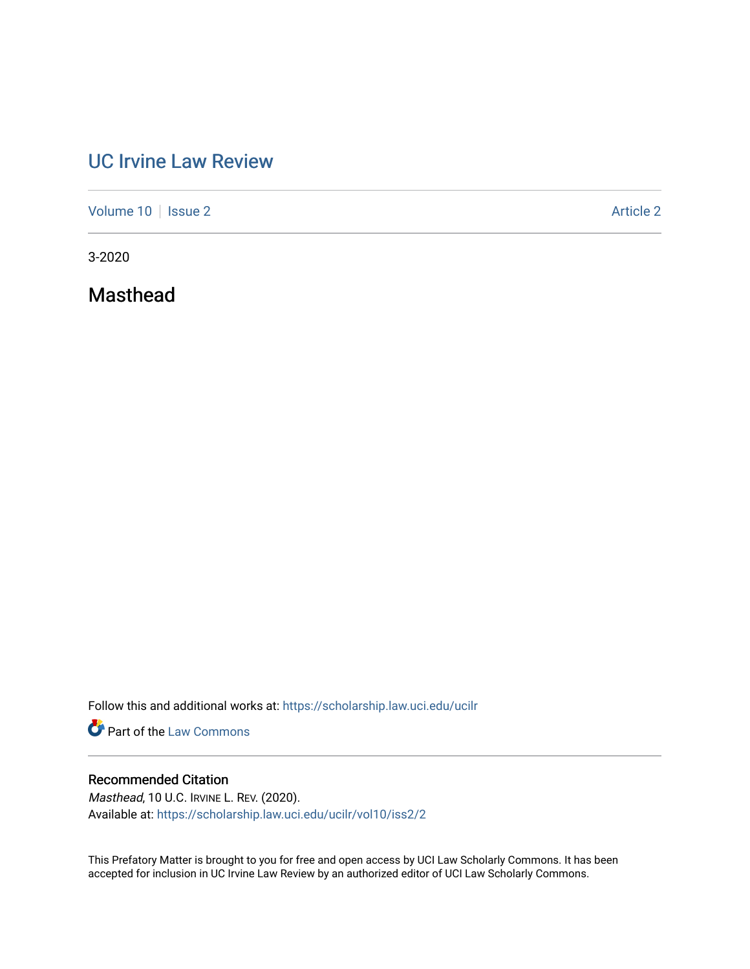## [UC Irvine Law Review](https://scholarship.law.uci.edu/ucilr)

[Volume 10](https://scholarship.law.uci.edu/ucilr/vol10) | [Issue 2](https://scholarship.law.uci.edu/ucilr/vol10/iss2) Article 2

3-2020

Masthead

Follow this and additional works at: [https://scholarship.law.uci.edu/ucilr](https://scholarship.law.uci.edu/ucilr?utm_source=scholarship.law.uci.edu%2Fucilr%2Fvol10%2Fiss2%2F2&utm_medium=PDF&utm_campaign=PDFCoverPages)

**Part of the [Law Commons](http://network.bepress.com/hgg/discipline/578?utm_source=scholarship.law.uci.edu%2Fucilr%2Fvol10%2Fiss2%2F2&utm_medium=PDF&utm_campaign=PDFCoverPages)** 

### Recommended Citation

Masthead, 10 U.C. IRVINE L. REV. (2020). Available at: [https://scholarship.law.uci.edu/ucilr/vol10/iss2/2](https://scholarship.law.uci.edu/ucilr/vol10/iss2/2?utm_source=scholarship.law.uci.edu%2Fucilr%2Fvol10%2Fiss2%2F2&utm_medium=PDF&utm_campaign=PDFCoverPages) 

This Prefatory Matter is brought to you for free and open access by UCI Law Scholarly Commons. It has been accepted for inclusion in UC Irvine Law Review by an authorized editor of UCI Law Scholarly Commons.